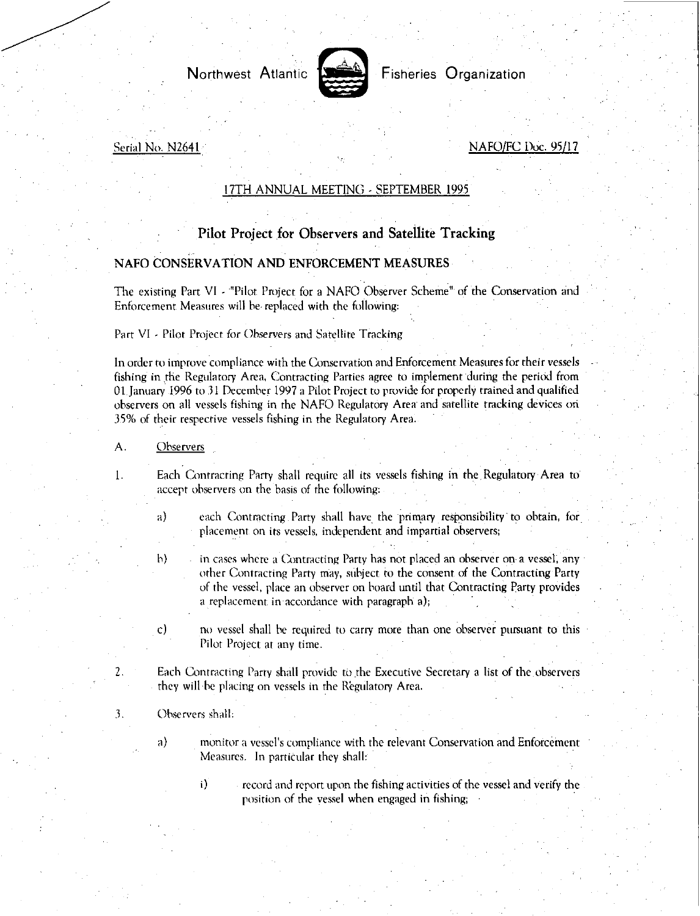

Northwest Atlantic **Second** Fisheries Organization

Serial No. N2641 No. 2004 NAFO/FC Doc. 95/17

## 17TH ANNUAL MEETING - SEPTEMBER 1995

## Pilot Project for Observers and Satellite Tracking

## NAFO CONSERVATION AND ENFORCEMENT MEASURES

The existing Part VI - "Pilot Project for a NAFO Observer Scheme" of the Conservation and Enforcement Measures will he replaced with the following:

Part VI - Pilot Project for Observers and Satellite Tracking

In order to improve compliance with the Conservation and Enforcement Measures for their *vessels*  fishing in the Regulatory Area, Contracting Parties agree to implement during the period from 01 January 1996 to 31 December 1997 a Pilot Project to provide for properly trained and qualified observers on all vessels fishing in the NAFO Regulatory Area and satellite tracking devices on 35% of their respective vessels fishing in the Regulatory Area.

- A. Observers
- $\mathbf{1}$ .

2.

3.

Each Contracting Party shall require all its vessels fishing in the Regulatory Area to accept observers on the basis of the following:

- a) each Contracting Party shall have the primary responsibility to obtain, for placement on its vessels, independent and impartial observers;
- h) in cases where a Contracting Party has not placed an observer on a vessel, any other Contracting Party may, subject to the consent of the Contracting Party of the vessel, place an observer on board until that Contracting Party provides a replacement in accordance with paragraph a);
- $\mathbf{c}$ no vessel shall he required to carry more than one observer pursuant to this Pilot Project at any time.

Each Contracting Party shall provide to the Executive Secretary a list of the observers they will he placing on vessels in the Regulatory Area.

- Observers shall:
	- a) monitor a vessel's compliance with the relevant Conservation and Enforcement Measures. In particular they shall:
		- $\mathbf{i}$
- record and report upon the fishing activities of the vessel and verify the position of the vessel when engaged in fishing;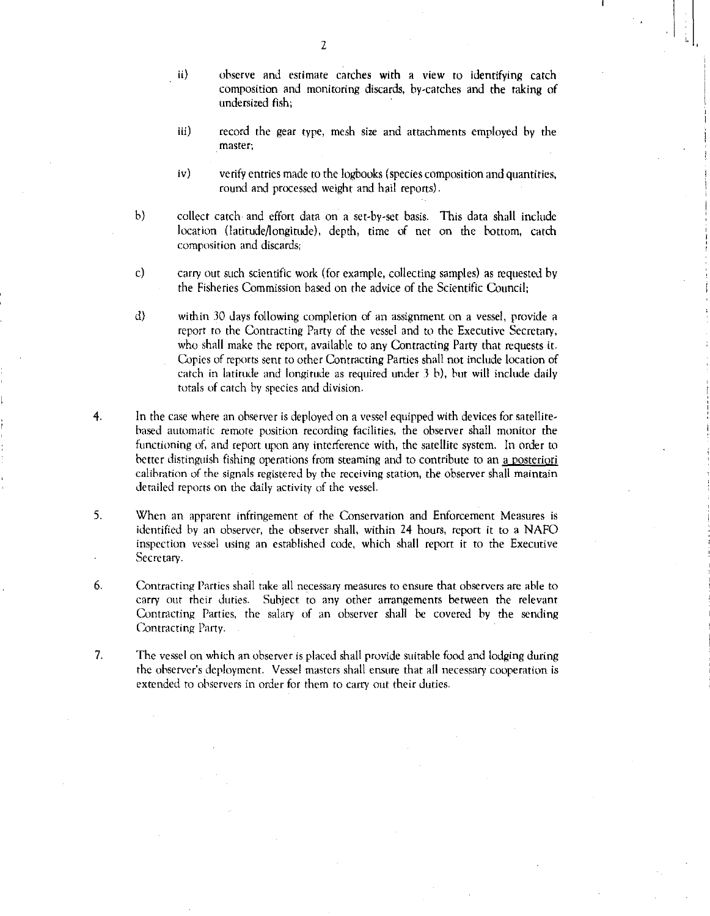- $\mathbf{ii}$ observe and estimate catches with a view to identifying catch composition and monitoring discards, by-catches and the taking of undersized fish;
- iii) record the gear type, mesh size and attachments employed by the master;
- iv) verify entries made to the logbooks (species composition and quantities, round and processed weight and hail reports).
- b) collect catch and effort data on a set-by-set basis. This data shall include location (latitude/longitude), depth, time of net on the bottom, catch composition and discards;
- c) carry out such scientific work (for example, collecting samples) as requested by the Fisheries Commission based on the advice of the Scientific Council;
- d) within 30 days following completion of an assignment on a vessel, provide a report to the Contracting Party of the vessel and to the Executive Secretary, who shall make the report, available to any Contracting Party that requests it. Copies of reports sent to other Contracting Parties shall not include location of catch in latitude and longitude as required under  $3$  b), but will include daily totals of catch by species and division.
- 4. In the case where an observer is deployed on a vessel equipped with devices for satellitebased automatic remote position recording facilities, the observer shall monitor the functioning of, and report upon any interference with, the satellite system. In order to better distinguish fishing operations from steaming and to contribute to an a posteriori calibration of the signals registered by the receiving station, the observer shall maintain detailed reports on the daily activity of the vessel.
- 5. When an apparent infringement of the Conservation and Enforcement Measures is identified by an observer, the observer shall, within 24 hours, report it to a NAFO inspection vessel using an established code, which shall report it to the Executive Secretary.
- 6. Contracting Parties shall take all necessary measures to ensure that observers are able to carry out their duties. Subject to any other arrangements between the relevant Contracting Parties, the salary of an observer shall be covered by the sending Contracting Party.
- 7. The vessel on which an observer is placed shall provide suitable food and lodging during the observer's deployment. Vessel masters shall ensure that all necessary cooperation is extended to observers in order for them to carry out their duties.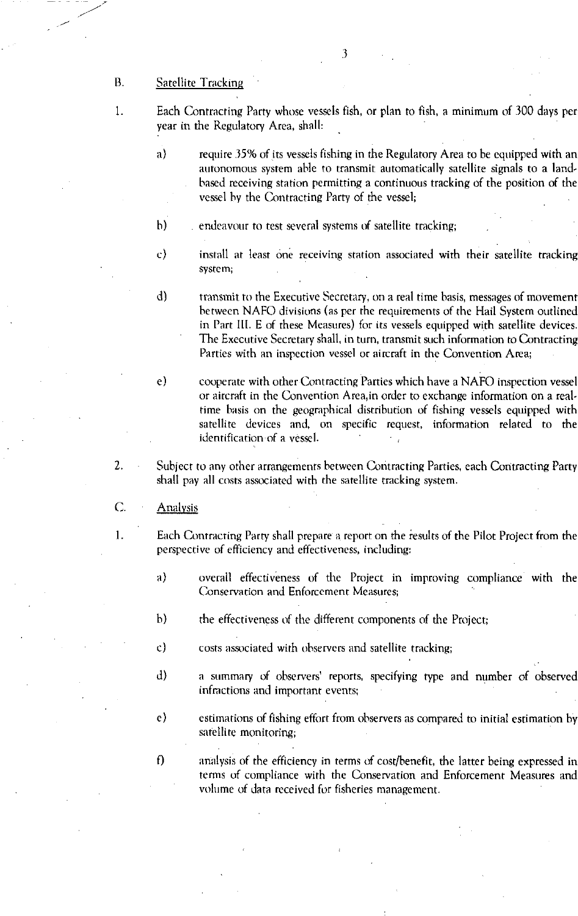B. Satellite Tracking

1.

- Each Contracting Party whose vessels fish, or plan to fish, a minimum of 300 days per year in the Regulatory Area, shall:
- a) require 35% of its vessels fishing in the Regulatory Area to be equipped with an autonomous system able to transmit automatically satellite signals to a landbased receiving station permitting a continuous tracking of the position of the vessel by the Contracting Parry of the vessel;
- h) endeavour to test several systems of satellite tracking;
- c) install at least one receiving station associated with their satellite tracking system;
- d) transmit to the Executive Secretary, on a real time basis, messages of movement between NAFO divisions (as per the requirements of the Hail System outlined in Part Ill. E of these Measures) for its vessels equipped with satellite devices. The Executive Secretary shall, in turn, transmit such information to Contracting Parties with an inspection vessel or aircraft in the Convention Area;
- e) cooperate with other Contracting Parties which have a NAFO inspection vessel or aircraft in the Convention Area,in order to exchange information on a realtime basis on the geographical distribution of fishing vessels equipped with satellite devices and, on specific request, information related to the identification of a vessel.
- 2. Subject to any other arrangements between Contracting Parties, each Contracting Party shall pay all costs associated with the satellite tracking system.
- C. Analysis
- 1. Each Contracting Parry shall prepare a report on the results of the Pilot Project from the perspective of efficiency and effectiveness, including:
	- a) overall effectiveness of the Project in improving compliance with the Conservation and Enforcement Measures;
	- h) the effectiveness of the different components of the Project;
	- c) costs associated with observers and satellite tracking;
	- d) a summary of observers' reports, specifying type and number of observed infractions and important events;
	- e) estimations of fishing effort from observers as compared to initial estimation by satellite monitoring;
	- f) analysis of the efficiency in terms of cost/benefit, the latter being expressed in terms of compliance with the Conservation and Enforcement Measures and volume of data received for fisheries management.